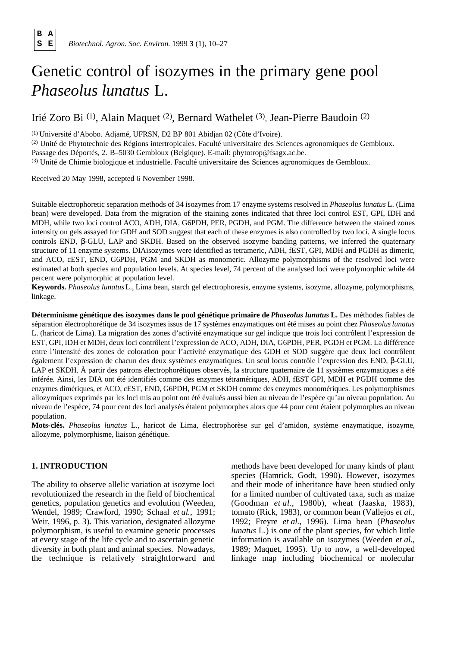**B A**

# Genetic control of isozymes in the primary gene pool *Phaseolus lunatus* L.

# Irié Zoro Bi<sup>(1)</sup>, Alain Maquet<sup>(2)</sup>, Bernard Wathelet<sup>(3)</sup>, Jean-Pierre Baudoin<sup>(2)</sup>

(1) Université d'Abobo. Adjamé, UFRSN, D2 BP 801 Abidjan 02 (Côte d'Ivoire).

(2) Unité de Phytotechnie des Régions intertropicales. Faculté universitaire des Sciences agronomiques de Gembloux. Passage des Déportés, 2. B–5030 Gembloux (Belgique). E-mail: phytotrop@fsagx.ac.be. (3) Unité de Chimie biologique et industrielle. Faculté universitaire des Sciences agronomiques de Gembloux.

Received 20 May 1998, accepted 6 November 1998.

Suitable electrophoretic separation methods of 34 isozymes from 17 enzyme systems resolved in *Phaseolus lunatus* L. (Lima bean) were developed. Data from the migration of the staining zones indicated that three loci control EST, GPI, IDH and MDH, while two loci control ACO, ADH, DIA, G6PDH, PER, PGDH, and PGM. The difference between the stained zones intensity on gels assayed for GDH and SOD suggest that each of these enzymes is also controlled by two loci. A single locus controls END, -GLU, LAP and SKDH. Based on the observed isozyme banding patterns, we inferred the quaternary structure of 11 enzyme systems. DIAisozymes were identified as tetrameric, ADH, fEST, GPI, MDH and PGDH as dimeric, and ACO, cEST, END, G6PDH, PGM and SKDH as monomeric. Allozyme polymorphisms of the resolved loci were estimated at both species and population levels. At species level, 74 percent of the analysed loci were polymorphic while 44 percent were polymorphic at population level.

Keywords. Phaseolus lunatus L., Lima bean, starch gel electrophoresis, enzyme systems, isozyme, allozyme, polymorphisms, linkage.

**Déterminisme génétique des isozymes dans le pool génétique primaire de** *Phaseolus lunatus* **L .** Des méthodes fiables de séparation électrophorétique de 34 isozymes issus de 17 systèmes enzymatiques ont été mises au point chez *Phaseolus lunatus* L. (haricot de Lima). La migration des zones d'activité enzymatique sur gel indique que trois loci contrôlent l'expression de EST, GPI, IDH et MDH, deux loci contrôlent l'expression de ACO, ADH, DIA, G6PDH, PER, PGDH et PGM. La différence entre l'intensité des zones de coloration pour l'activité enzymatique des GDH et SOD suggère que deux loci contrôlent également l'expression de chacun des deux systèmes enzymatiques. Un seul locus contrôle l'expression des END, -GLU, LAP et SKDH. À partir des patrons électrophorétiques observés, la structure quaternaire de 11 systèmes enzymatiques a été inférée. Ainsi, les DIA ont été identifiés comme des enzymes tétramériques, ADH, fEST GPI, MDH et PGDH comme des enzymes dimériques, et ACO, cEST, END, G6PDH, PGM et SKDH comme des enzymes monomériques. Les polymorphismes allozymiques exprimés par les loci mis au point ont été évalués aussi bien au niveau de l'espèce qu'au niveau population. Au niveau de l'espèce, 74 pour cent des loci analysés étaient polymorphes alors que 44 pour cent étaient polymorphes au niveau population.

**Mots-clés.** *Phaseolus lunatus* L., haricot de Lima, électrophorèse sur gel d'amidon, système enzymatique, isozyme, allozyme, polymorphisme, liaison génétique.

### **1. INTRODUCTION**

The ability to observe allelic variation at isozyme loci revolutionized the research in the field of biochemical genetics, population genetics and evolution (Weeden, Wendel, 1989; Crawford, 1990; Schaal *et al.*, 1991; Weir, 1996, p. 3). This variation, designated allozyme polymorphism, is useful to examine genetic processes at every stage of the life cycle and to ascertain genetic diversity in both plant and animal species. Nowadays, the technique is relatively straightforward and methods have been developed for many kinds of plant species (Hamrick, Godt, 1990). However, isozymes and their mode of inheritance have been studied only for a limited number of cultivated taxa, such as maize (Goodman *et al.*, 1980b), wheat (Jaaska, 1983), tomato (Rick, 1983), or common bean (Vallejos *et al.*, 1992; Freyre *et al.*, 1996). Lima bean (*Phaseolus lunatus* L.) is one of the plant species, for which little information is available on isozymes (Weeden *et al.*, 1989; Maquet, 1995). Up to now, a well-developed linkage map including biochemical or molecular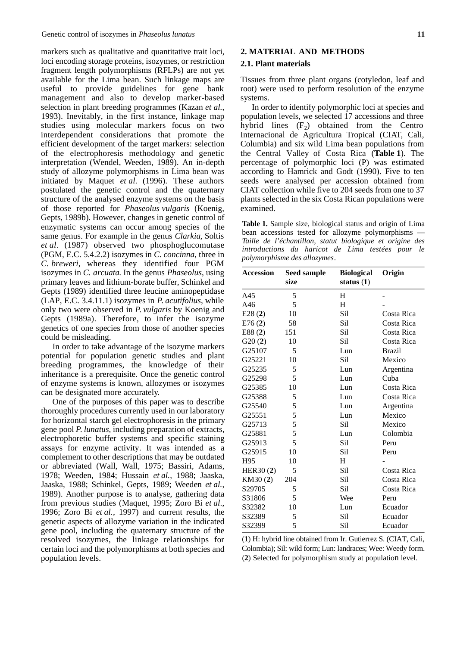markers such as qualitative and quantitative trait loci, loci encoding storage proteins, isozymes, or restriction fragment length polymorphisms (RFLPs) are not yet available for the Lima bean. Such linkage maps are useful to provide guidelines for gene bank management and also to develop marker-based selection in plant breeding programmes (Kazan *et al.*, 1993). Inevitably, in the first instance, linkage map studies using molecular markers focus on two interdependent considerations that promote the efficient development of the target markers: selection of the electrophoresis methodology and genetic interpretation (Wendel, Weeden, 1989). An in-depth study of allozyme polymorphisms in Lima bean was initiated by Maquet *et al.* (1996). These authors postulated the genetic control and the quaternary structure of the analysed enzyme systems on the basis of those reported for *Phaseolus vulgaris* (Koenig, Gepts, 1989b). However, changes in genetic control of enzymatic systems can occur among species of the same genus. For example in the genus *Clarkia*, Soltis *et al.* (1987) observed two phosphoglucomutase (PGM, E.C. 5.4.2.2) isozymes in *C. concinna*, three in *C. breweri*, whereas they identified four PGM isozymes in *C. arcuata*. In the genus *Phaseolus*, using primary leaves and lithium-borate buffer, Schinkel and Gepts (1989) identified three leucine aminopeptidase (LAP, E.C. 3.4.11.1) isozymes in *P. acutifolius*, while only two were observed in *P. vulgaris* by Koenig and Gepts (1989a). Therefore, to infer the isozyme genetics of one species from those of another species could be misleading.

In order to take advantage of the isozyme markers potential for population genetic studies and plant breeding programmes, the knowledge of their inheritance is a prerequisite. Once the genetic control of enzyme systems is known, allozymes or isozymes can be designated more accurately.

One of the purposes of this paper was to describe thoroughly procedures currently used in our laboratory for horizontal starch gel electrophoresis in the primary gene pool *P. lunatus*, including preparation of extracts, electrophoretic buffer systems and specific staining assays for enzyme activity. It was intended as a complement to other descriptions that may be outdated or abbreviated (Wall, Wall, 1975; Bassiri, Adams, 1978; Weeden, 1984; Hussain *et al.*, 1988; Jaaska, Jaaska, 1988; Schinkel, Gepts, 1989; Weeden *et al.*, 1989). Another purpose is to analyse, gathering data from previous studies (Maquet, 1995; Zoro Bi *et al*., 1996; Zoro Bi *et al.*, 1997) and current results, the genetic aspects of allozyme variation in the indicated gene pool, including the quaternary structure of the resolved isozymes, the linkage relationships for certain loci and the polymorphisms at both species and population levels.

#### **2.1. Plant materials**

Tissues from three plant organs (cotyledon, leaf and root) were used to perform resolution of the enzyme systems.

In order to identify polymorphic loci at species and population levels, we selected 17 accessions and three hybrid lines  $(F_2)$  obtained from the Centro Internacional de Agricultura Tropical (CIAT, Cali, Columbia) and six wild Lima bean populations from the Central Valley of Costa Rica (Table 1). The percentage of polymorphic loci (P) was estimated according to Hamrick and Godt (1990). Five to ten seeds were analysed per accession obtained from CIAT collection while five to 204 seeds from one to 37 plants selected in the six Costa Rican populations were examined.

**Table 1.** Sample size, biological status and origin of Lima bean accessions tested for allozyme polymorphisms *Taille de l'échantillon, statut biologique et origine des introductions du haricot de Lima testées pour le polymorphisme des allozymes*.

| <b>Accession</b> | <b>Seed sample</b> | <b>Biological</b> | Origin        |
|------------------|--------------------|-------------------|---------------|
|                  | size               | status $(1)$      |               |
| A45              | 5                  | H                 |               |
| A46              | 5                  | H                 |               |
| E28(2)           | 10                 | Sil               | Costa Rica    |
| E76(2)           | 58                 | Sil               | Costa Rica    |
| E88(2)           | 151                | Sil               | Costa Rica    |
| G20(2)           | 10                 | Sil               | Costa Rica    |
| G25107           | 5                  | Lun               | <b>Brazil</b> |
| G25221           | 10                 | Sil               | Mexico        |
| G25235           | 5                  | Lun               | Argentina     |
| G25298           | 5                  | Lun               | Cuba          |
| G25385           | 10                 | Lun               | Costa Rica    |
| G25388           | 5                  | Lun               | Costa Rica    |
| G25540           | 5                  | Lun               | Argentina     |
| G25551           | 5                  | Lun               | Mexico        |
| G25713           | 5                  | Sil               | Mexico        |
| G25881           | 5                  | Lun               | Colombia      |
| G25913           | 5                  | Sil               | Peru          |
| G25915           | 10                 | Sil               | Peru          |
| H95              | 10                 | H                 |               |
| HER30(2)         | 5                  | Sil               | Costa Rica    |
| KM30(2)          | 204                | Sil               | Costa Rica    |
| S29705           | 5                  | Sil.              | Costa Rica    |
| S31806           | 5                  | Wee               | Peru          |
| S32382           | 10                 | Lun               | Ecuador       |
| S32389           | 5                  | Sil               | Ecuador       |
| S32399           | 5                  | Sil               | Ecuador       |
|                  |                    |                   |               |

(**1**) H: hybrid line obtained from Ir. Gutierrez S. (CIAT, Cali, Colombia); Sil: wild form; Lun: landraces; Wee: Weedy form. (**2**) Selected for polymorphism study at population level.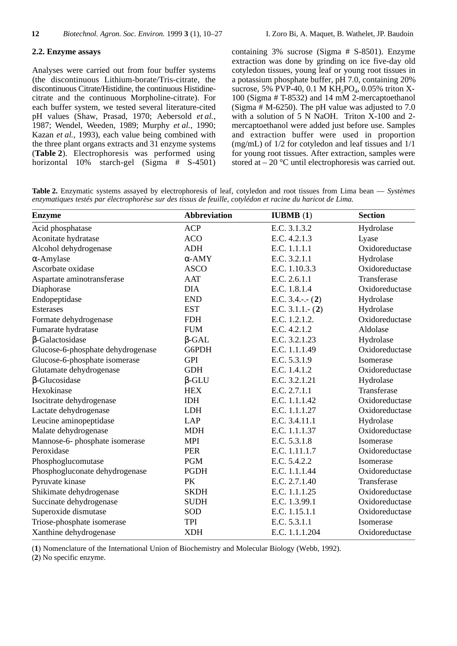Analyses were carried out from four buffer systems (the discontinuous Lithium-borate/Tris-citrate, the discontinuous Citrate/Histidine, the continuous Histidinecitrate and the continuous Morpholine-citrate). For each buffer system, we tested several literature-cited pH values (Shaw, Prasad, 1970; Aebersold *et al.*, 1987; Wendel, Weeden, 1989; Murphy *et al.*, 1990; Kazan *et al.*, 1993), each value being combined with the three plant organs extracts and 31 enzyme systems (**Table 2**). Electrophoresis was performed using horizontal 10% starch-gel (Sigma # S-4501) containing 3% sucrose (Sigma # S-8501). Enzyme extraction was done by grinding on ice five-day old cotyledon tissues, young leaf or young root tissues in a potassium phosphate buffer, pH 7.0, containing 20% sucrose, 5% PVP-40, 0.1 M  $KH_2PO_4$ , 0.05% triton X-100 (Sigma # T-8532) and 14 mM 2-mercaptoethanol (Sigma  $# M$ -6250). The pH value was adjusted to 7.0 with a solution of 5 N NaOH. Triton X-100 and 2 mercaptoethanol were added just before use. Samples and extraction buffer were used in proportion (mg/mL) of 1/2 for cotyledon and leaf tissues and 1/1 for young root tissues. After extraction, samples were stored at  $-20$  °C until electrophoresis was carried out.

**Table 2.** Enzymatic systems assayed by electrophoresis of leaf, cotyledon and root tissues from Lima bean — *Systèmes enzymatiques testés par électrophorèse sur des tissus de feuille, cotylédon et racine du haricot de Lima*.

| <b>Enzyme</b>                     | <b>Abbreviation</b> | <b>IUBMB</b> $(1)$    | <b>Section</b> |
|-----------------------------------|---------------------|-----------------------|----------------|
| Acid phosphatase                  | <b>ACP</b>          | E.C. 3.1.3.2          | Hydrolase      |
| Aconitate hydratase               | <b>ACO</b>          | E.C. 4.2.1.3          | Lyase          |
| Alcohol dehydrogenase             | <b>ADH</b>          | E.C. 1.1.1.1          | Oxidoreductase |
| -Amylase                          | -AMY                | E.C. 3.2.1.1          | Hydrolase      |
| Ascorbate oxidase                 | <b>ASCO</b>         | E.C. 1.10.3.3         | Oxidoreductase |
| Aspartate aminotransferase        | <b>AAT</b>          | E.C. 2.6.1.1          | Transferase    |
| Diaphorase                        | <b>DIA</b>          | E.C. 1.8.1.4          | Oxidoreductase |
| Endopeptidase                     | <b>END</b>          | E.C. $3.4$ .-.- $(2)$ | Hydrolase      |
| <b>Esterases</b>                  | <b>EST</b>          | E.C. $3.1.1 - (2)$    | Hydrolase      |
| Formate dehydrogenase             | <b>FDH</b>          | E.C. 1.2.1.2.         | Oxidoreductase |
| Fumarate hydratase                | <b>FUM</b>          | E.C. 4.2.1.2          | Aldolase       |
| -Galactosidase                    | $-GAL$              | E.C. 3.2.1.23         | Hydrolase      |
| Glucose-6-phosphate dehydrogenase | G6PDH               | E.C. 1.1.1.49         | Oxidoreductase |
| Glucose-6-phosphate isomerase     | <b>GPI</b>          | E.C. 5.3.1.9          | Isomerase      |
| Glutamate dehydrogenase           | <b>GDH</b>          | E.C. 1.4.1.2          | Oxidoreductase |
| -Glucosidase                      | -GLU                | E.C. 3.2.1.21         | Hydrolase      |
| Hexokinase                        | <b>HEX</b>          | E.C. 2.7.1.1          | Transferase    |
| Isocitrate dehydrogenase          | <b>IDH</b>          | E.C. 1.1.1.42         | Oxidoreductase |
| Lactate dehydrogenase             | <b>LDH</b>          | E.C. 1.1.1.27         | Oxidoreductase |
| Leucine aminopeptidase            | LAP                 | E.C. 3.4.11.1         | Hydrolase      |
| Malate dehydrogenase              | <b>MDH</b>          | E.C. 1.1.1.37         | Oxidoreductase |
| Mannose-6- phosphate isomerase    | <b>MPI</b>          | E.C. 5.3.1.8          | Isomerase      |
| Peroxidase                        | <b>PER</b>          | E.C. 1.11.1.7         | Oxidoreductase |
| Phosphoglucomutase                | <b>PGM</b>          | E.C. 5.4.2.2          | Isomerase      |
| Phosphogluconate dehydrogenase    | <b>PGDH</b>         | E.C. 1.1.1.44         | Oxidoreductase |
| Pyruvate kinase                   | PK                  | E.C. 2.7.1.40         | Transferase    |
| Shikimate dehydrogenase           | <b>SKDH</b>         | E.C. 1.1.1.25         | Oxidoreductase |
| Succinate dehydrogenase           | <b>SUDH</b>         | E.C. 1.3.99.1         | Oxidoreductase |
| Superoxide dismutase              | SOD                 | E.C. 1.15.1.1         | Oxidoreductase |
| Triose-phosphate isomerase        | <b>TPI</b>          | E.C. 5.3.1.1          | Isomerase      |
| Xanthine dehydrogenase            | <b>XDH</b>          | E.C. 1.1.1.204        | Oxidoreductase |

(**1**) Nomenclature of the International Union of Biochemistry and Molecular Biology (Webb, 1992).

(**2**) No specific enzyme.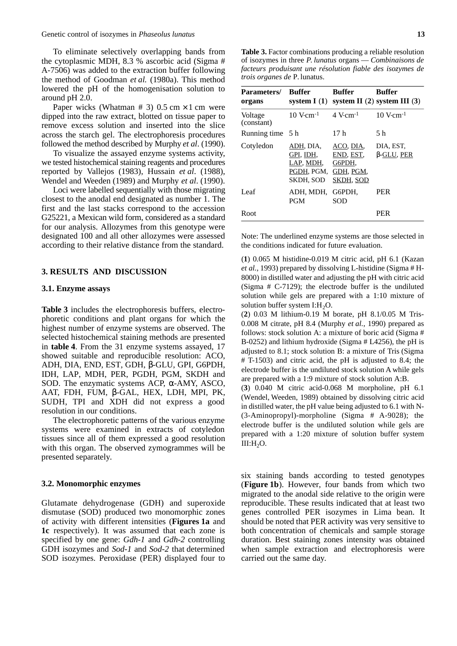To eliminate selectively overlapping bands from the cytoplasmic MDH, 8.3 % ascorbic acid (Sigma # A-7506) was added to the extraction buffer following the method of Goodman *et al.* (1980a). This method lowered the pH of the homogenisation solution to around pH 2.0.

Paper wicks (Whatman  $# 3$ ) 0.5 cm  $\times$  1 cm were dipped into the raw extract, blotted on tissue paper to remove excess solution and inserted into the slice across the starch gel. The electrophoresis procedures followed the method described by Murphy *et al.* (1990).

To visualize the assayed enzyme systems activity, we tested histochemical staining reagents and procedures reported by Vallejos (1983), Hussain *et al*. (1988), Wendel and Weeden (1989) and Murphy *et al*. (1990).

Loci were labelled sequentially with those migrating closest to the anodal end designated as number 1. The first and the last stacks correspond to the accession G25221, a Mexican wild form, considered as a standard for our analysis. Allozymes from this genotype were designated 100 and all other allozymes were assessed according to their relative distance from the standard.

#### **3. RESULTS AND DISCUSSION**

#### **3.1. Enzyme assays**

**Table 3** includes the electrophoresis buffers, electrophoretic conditions and plant organs for which the highest number of enzyme systems are observed. The selected histochemical staining methods are presented in **table 4**. From the 31 enzyme systems assayed, 17 showed suitable and reproducible resolution: ACO, ADH, DIA, END, EST, GDH, -GLU, GPI, G6PDH, IDH, LAP, MDH, PER, PGDH, PGM, SKDH and SOD. The enzymatic systems ACP, -AMY, ASCO, AAT, FDH, FUM, -GAL, HEX, LDH, MPI, PK, SUDH, TPI and XDH did not express a good resolution in our conditions.

The electrophoretic patterns of the various enzyme systems were examined in extracts of cotyledon tissues since all of them expressed a good resolution with this organ. The observed zymogrammes will be presented separately.

#### **3.2. Monomorphic enzymes**

Glutamate dehydrogenase (GDH) and superoxide dismutase (SOD) produced two monomorphic zones of activity with different intensities (**Figures 1a** and **1c** respectively). It was assumed that each zone is specified by one gene: *Gdh-1* and *Gdh-2* controlling GDH isozymes and *Sod-1* and *Sod-2* that determined SOD isozymes. Peroxidase (PER) displayed four to

| <b>Parameters/</b><br>organs | <b>Buffer</b><br>system $I(1)$                                 | <b>Buffer</b>                                              | <b>Buffer</b><br>system II $(2)$ system III $(3)$ |
|------------------------------|----------------------------------------------------------------|------------------------------------------------------------|---------------------------------------------------|
| Voltage<br>(constant)        | $10$ V $cm^{-1}$                                               | $4$ V $cm^{-1}$                                            | $10$ V $cm^{-1}$                                  |
| Running time 5 h             |                                                                | 17 h                                                       | 5 h                                               |
| Cotyledon                    | ADH, DIA.<br>GPI, IDH,<br>LAP, MDH,<br>PGDH, PGM,<br>SKDH, SOD | ACO, DIA,<br>END, EST,<br>G6PDH,<br>GDH, PGM,<br>SKDH, SOD | DIA, EST,<br>-GLU, PER                            |
| Leaf                         | ADH, MDH,<br><b>PGM</b>                                        | G6PDH.<br><b>SOD</b>                                       | <b>PER</b>                                        |
| Root                         |                                                                |                                                            | <b>PER</b>                                        |

Note: The underlined enzyme systems are those selected in the conditions indicated for future evaluation.

(**1**) 0.065 M histidine-0.019 M citric acid, pH 6.1 (Kazan *et al.*, 1993) prepared by dissolving L-histidine (Sigma # H-8000) in distilled water and adjusting the pH with citric acid (Sigma # C-7129); the electrode buffer is the undiluted solution while gels are prepared with a 1:10 mixture of solution buffer system  $I: H<sub>2</sub>O$ .

(**2**) 0.03 M lithium-0.19 M borate, pH 8.1/0.05 M Tris-0.008 M citrate, pH 8.4 (Murphy *et al.*, 1990) prepared as follows: stock solution A: a mixture of boric acid (Sigma # B-0252) and lithium hydroxide (Sigma # L4256), the pH is adjusted to 8.1; stock solution B: a mixture of Tris (Sigma # T-1503) and citric acid, the pH is adjusted to 8.4; the electrode buffer is the undiluted stock solution A while gels are prepared with a 1:9 mixture of stock solution A:B.

(**3**) 0.040 M citric acid-0.068 M morpholine, pH 6.1 (Wendel, Weeden, 1989) obtained by dissolving citric acid in distilled water, the pH value being adjusted to 6.1 with N- (3-Aminopropyl)-morpholine (Sigma # A-9028); the electrode buffer is the undiluted solution while gels are prepared with a 1:20 mixture of solution buffer system  $III:H<sub>2</sub>O.$ 

six staining bands according to tested genotypes (**Figure 1b**). However, four bands from which two migrated to the anodal side relative to the origin were reproducible. These results indicated that at least two genes controlled PER isozymes in Lima bean. It should be noted that PER activity was very sensitive to both concentration of chemicals and sample storage duration. Best staining zones intensity was obtained when sample extraction and electrophoresis were carried out the same day.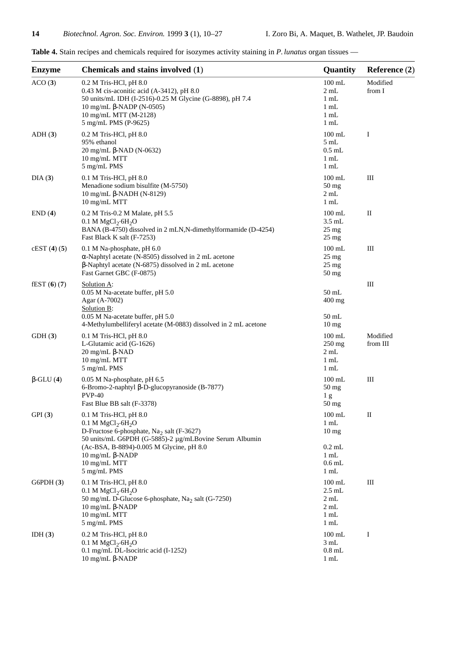| <b>Enzyme</b> | Chemicals and stains involved (1)                                                                                                                                                                                                                                        | Quantity                                                                                 | Reference $(2)$      |
|---------------|--------------------------------------------------------------------------------------------------------------------------------------------------------------------------------------------------------------------------------------------------------------------------|------------------------------------------------------------------------------------------|----------------------|
| ACO(3)        | $0.2$ M Tris-HCl, pH $8.0$<br>0.43 M cis-aconitic acid (A-3412), pH 8.0<br>50 units/mL IDH (I-2516)-0.25 M Glycine (G-8898), pH 7.4<br>10 mg/mL -NADP $(N-0505)$<br>10 mg/mL MTT (M-2128)<br>5 mg/mL PMS (P-9625)                                                        | $100$ mL<br>$2 \text{ mL}$<br>$1 \text{ mL}$<br>1 mL<br>$1 \text{ mL}$<br>$1 \text{ mL}$ | Modified<br>from I   |
| ADH(3)        | 0.2 M Tris-HCl, pH 8.0<br>95% ethanol<br>20 mg/mL -NAD (N-0632)<br>10 mg/mL MTT<br>5 mg/mL PMS                                                                                                                                                                           | $100$ mL<br>5mL<br>$0.5$ mL<br>$1 \text{ mL}$<br>$1 \text{ mL}$                          | I                    |
| DIA(3)        | 0.1 M Tris-HCl, pH 8.0<br>Menadione sodium bisulfite (M-5750)<br>10 mg/mL -NADH (N-8129)<br>10 mg/mL MTT                                                                                                                                                                 | $100 \text{ mL}$<br>$50$ mg<br>2 mL<br>$1 \text{ mL}$                                    | Ш                    |
| END(4)        | 0.2 M Tris-0.2 M Malate, pH 5.5<br>0.1 M MgCl <sub>2</sub> .6H <sub>2</sub> O<br>BANA (B-4750) dissolved in 2 mLN, N-dimethylformamide (D-4254)<br>Fast Black K salt (F-7253)                                                                                            | $100 \text{ mL}$<br>$3.5$ mL<br>$25 \text{ mg}$<br>$25 \text{ mg}$                       | $\rm II$             |
| cEST(4) (5)   | 0.1 M Na-phosphate, pH 6.0<br>-Naphtyl acetate (N-8505) dissolved in 2 mL acetone<br>-Naphtyl acetate (N-6875) dissolved in 2 mL acetone<br>Fast Garnet GBC (F-0875)                                                                                                     | $100 \text{ mL}$<br>$25 \text{ mg}$<br>$25 \text{ mg}$<br>$50 \,\mathrm{mg}$             | Ш                    |
| fEST(6) (7)   | Solution A:<br>0.05 M Na-acetate buffer, pH 5.0<br>Agar (A-7002)<br>Solution B:<br>0.05 M Na-acetate buffer, pH 5.0<br>4-Methylumbelliferyl acetate (M-0883) dissolved in 2 mL acetone                                                                                   | 50 mL<br>$400$ mg<br>50 mL<br>10 <sub>mg</sub>                                           | $\mathop{\rm III}$   |
| GDH(3)        | 0.1 M Tris-HCl, pH 8.0<br>L-Glutamic acid (G-1626)<br>20 mg/mL -NAD<br>10 mg/mL MTT<br>5 mg/mL PMS                                                                                                                                                                       | $100 \text{ mL}$<br>$250 \text{ mg}$<br>2mL<br>$1 \text{ mL}$<br>$1 \text{ mL}$          | Modified<br>from III |
| -GLU $(4)$    | 0.05 M Na-phosphate, pH 6.5<br>6-Bromo-2-naphtyl -D-glucopyranoside (B-7877)<br><b>PVP-40</b><br>Fast Blue BB salt (F-3378)                                                                                                                                              | $100 \text{ mL}$<br>$50 \text{ mg}$<br>1 <sub>g</sub><br>50 mg                           | $\rm III$            |
| GPI(3)        | 0.1 M Tris-HCl, pH 8.0<br>0.1 M $MgCl_2.6H_2O$<br>D-Fructose 6-phosphate, Na <sub>2</sub> salt (F-3627)<br>50 units/mL G6PDH (G-5885)-2 µg/mLBovine Serum Albumin<br>(Ac-BSA, B-8894)-0.005 M Glycine, pH 8.0<br>$10 \text{ mg/mL}$ -NADP<br>10 mg/mL MTT<br>5 mg/mL PMS | $100$ mL<br>$1$ mL<br>$10 \text{ mg}$<br>$0.2$ mL<br>$1$ mL<br>$0.6$ mL<br>$1$ mL        | $\mathbf{I}$         |
| G6PDH(3)      | 0.1 M Tris-HCl, pH 8.0<br>0.1 M MgCl <sub>2</sub> .6H <sub>2</sub> O<br>50 mg/mL D-Glucose 6-phosphate, Na <sub>2</sub> salt (G-7250)<br>10 mg/mL -NADP<br>10 mg/mL MTT<br>5 mg/mL PMS                                                                                   | $100$ mL<br>$2.5$ mL<br>2 mL<br>$2 \text{ mL}$<br>1 mL<br>$1 \text{ mL}$                 | Ш                    |
| IDH $(3)$     | 0.2 M Tris-HCl, pH 8.0<br>$0.1$ M MgCl <sub>2</sub> .6H <sub>2</sub> O<br>0.1 mg/mL DL-Isocitric acid (I-1252)<br>10 mg/mL -NADP                                                                                                                                         | $100$ mL<br>3 mL<br>$0.8$ mL<br>$1$ mL                                                   | Ι                    |

Table 4. Stain recipes and chemicals required for isozymes activity staining in *P. lunatus* organ tissues —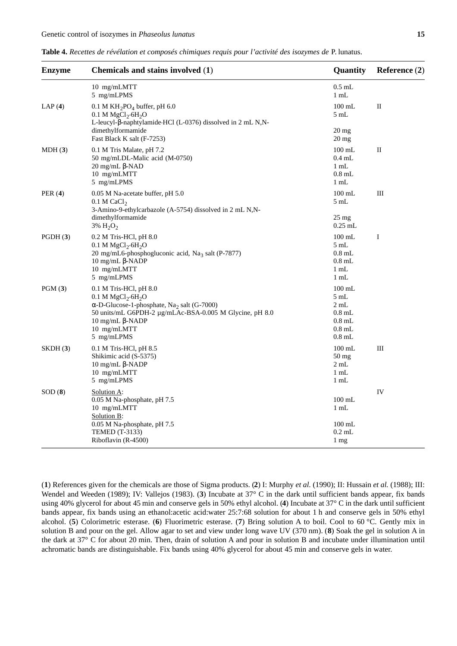| <b>Enzyme</b> | Chemicals and stains involved (1)                                                                                                                                                                                                     | Quantity                                                                                        | Reference (2) |
|---------------|---------------------------------------------------------------------------------------------------------------------------------------------------------------------------------------------------------------------------------------|-------------------------------------------------------------------------------------------------|---------------|
|               | 10 mg/mLMTT<br>5 mg/mLPMS                                                                                                                                                                                                             | $0.5$ mL<br>$1$ mL                                                                              |               |
| LAP(4)        | $0.1$ M KH <sub>2</sub> PO <sub>4</sub> buffer, pH 6.0<br>0.1 M MgCl <sub>2</sub> .6H <sub>2</sub> O<br>L-leucyl- -naphtylamide·HCl (L-0376) dissolved in 2 mL N,N-<br>dimethylformamide                                              | $100 \text{ mL}$<br>5 mL<br>$20 \text{ mg}$                                                     | $\mathbf{I}$  |
| MDH(3)        | Fast Black K salt (F-7253)<br>0.1 M Tris Malate, pH 7.2<br>50 mg/mLDL-Malic acid (M-0750)<br>$20 \text{ mg/mL}$ -NAD<br>10 mg/mLMTT<br>5 mg/mLPMS                                                                                     | $20 \text{ mg}$<br>$100 \text{ mL}$<br>$0.4$ mL<br>$1 \text{ mL}$<br>$0.8$ mL<br>$1 \text{ mL}$ | П             |
| PER $(4)$     | 0.05 M Na-acetate buffer, pH 5.0<br>$0.1$ M CaCl <sub>2</sub><br>3-Amino-9-ethylcarbazole (A-5754) dissolved in 2 mL N,N-<br>dimethylformamide<br>3% $H_2O_2$                                                                         | $100$ mL<br>5mL<br>25 mg<br>$0.25$ mL                                                           | Ш             |
| PGDH(3)       | 0.2 M Tris-HCl, pH 8.0<br>0.1 M MgCl <sub>2</sub> .6H <sub>2</sub> O<br>20 mg/mL6-phosphogluconic acid, Na <sub>3</sub> salt (P-7877)<br>10 mg/mL -NADP<br>10 mg/mLMTT<br>5 mg/mLPMS                                                  | $100$ mL<br>5 mL<br>$0.8$ mL<br>$0.8$ mL<br>$1 \text{ mL}$<br>$1 \text{ mL}$                    | I             |
| PGM(3)        | 0.1 M Tris-HCl, pH 8.0<br>0.1 M MgCl <sub>2</sub> .6H <sub>2</sub> O<br>-D-Glucose-1-phosphate, $\text{Na}_2$ salt (G-7000)<br>50 units/mL G6PDH-2 µg/mLAc-BSA-0.005 M Glycine, pH 8.0<br>10 mg/mL -NADP<br>10 mg/mLMTT<br>5 mg/mLPMS | $100$ mL<br>$5 \text{ mL}$<br>$2 \text{ mL}$<br>$0.8$ mL<br>$0.8$ mL<br>$0.8$ mL<br>$0.8$ mL    |               |
| SKDH(3)       | 0.1 M Tris-HCl, pH 8.5<br>Shikimic acid (S-5375)<br>$10 \text{ mg/mL}$ -NADP<br>10 mg/mLMTT<br>5 mg/mLPMS                                                                                                                             | $100$ mL<br>50 mg<br>$2 \text{ mL}$<br>$1 \text{ mL}$<br>1 mL                                   | Ш             |
| SOD(8)        | Solution A:<br>0.05 M Na-phosphate, pH 7.5<br>10 mg/mLMTT<br><b>Solution B:</b><br>0.05 M Na-phosphate, pH 7.5<br><b>TEMED</b> (T-3133)<br>Riboflavin (R-4500)                                                                        | $100 \text{ mL}$<br>$1 \text{ mL}$<br>$100$ mL<br>$0.2$ mL<br>1 mg                              | IV            |

**Table 4.** *Recettes de révélation et composés chimiques requis pour l'activité des isozymes de* P.lunatus.

(**1**) References given for the chemicals are those of Sigma products. (**2**) I: Murphy *et al.* (1990); II: Hussain *et al.* (1988); III: Wendel and Weeden (1989); IV: Vallejos (1983). (**3**) Incubate at 37° C in the dark until sufficient bands appear, fix bands using 40% glycerol for about 45 min and conserve gels in 50% ethyl alcohol. (**4**) Incubate at 37° C in the dark until sufficient bands appear, fix bands using an ethanol:acetic acid:water 25:7:68 solution for about 1 h and conserve gels in 50% ethyl alcohol. (**5**) Colorimetric esterase. (**6**) Fluorimetric esterase. (**7**) Bring solution A to boil. Cool to 60 °C. Gently mix in solution B and pour on the gel. Allow agar to set and view under long wave UV (370 nm). (**8**) Soak the gel in solution A in the dark at 37° C for about 20 min. Then, drain of solution A and pour in solution B and incubate under illumination until achromatic bands are distinguishable. Fix bands using 40% glycerol for about 45 min and conserve gels in water.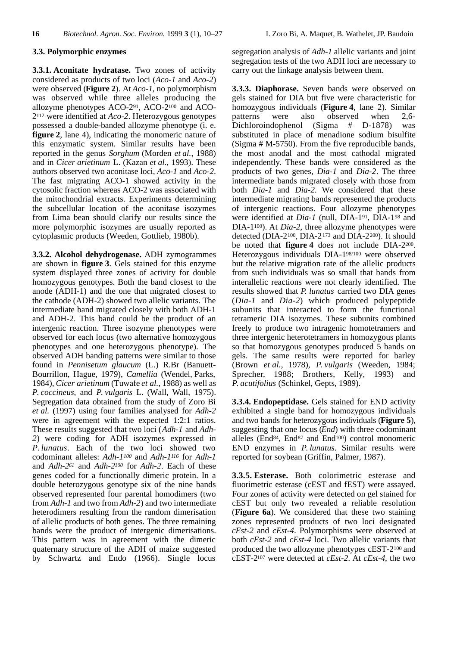## **3.3. Polymorphic enzymes**

**3.3.1. Aconitate hydratase.** Two zones of activity considered as products of two loci (*Aco-1* and *Aco-2*) were observed (**Figure 2**). At *Aco-1*, no polymorphism was observed while three alleles producing the allozyme phenotypes ACO-291, ACO-2<sup>100</sup> and ACO-2<sup>112</sup> were identified at *Aco-2*. Heterozygous genotypes possessed a double-banded allozyme phenotype (i. e. **figure 2**, lane 4), indicating the monomeric nature of this enzymatic system. Similar results have been reported in the genus *Sorghum* (Morden *et al.*, 1988) and in *Cicer arietinum* L. (Kazan *et al.*, 1993). These authors observed two aconitase loci, *Aco-1* and *Aco-2*. The fast migrating ACO-1 showed activity in the cytosolic fraction whereas ACO-2 was associated with the mitochondrial extracts. Experiments determining the subcellular location of the aconitase isozymes from Lima bean should clarify our results since the more polymorphic isozymes are usually reported as cytoplasmic products (Weeden, Gottlieb, 1980b).

**3.3.2. Alcohol dehydrogenase.** ADH zymogrammes are shown in **figure 3**. Gels stained for this enzyme system displayed three zones of activity for double homozygous genotypes. Both the band closest to the anode (ADH-1) and the one that migrated closest to the cathode (ADH-2) showed two allelic variants. The intermediate band migrated closely with both ADH-1 and ADH-2. This band could be the product of an intergenic reaction. Three isozyme phenotypes were observed for each locus (two alternative homozygous phenotypes and one heterozygous phenotype). The observed ADH banding patterns were similar to those found in *Pennisetum glaucum* (L.) R.Br (Banuett-Bourrillon, Hague, 1979), *Camellia* (Wendel, Parks, 1984), *Cicer arietinum* (Tuwafe *et al.*, 1988) as well as *P. coccineus*, and *P. vulgaris* L. (Wall, Wall, 1975). Segregation data obtained from the study of Zoro Bi *et al.* (1997) using four families analysed for *Adh-2* were in agreement with the expected 1:2:1 ratios. These results suggested that two loci (*Adh-1* and *Adh-2*) were coding for ADH isozymes expressed in *P. lunatus*. Each of the two loci showed two codominant alleles: *Adh-1<sup>100</sup>* and *Adh-1<sup>116</sup>* for *Adh-1* and *Adh-2<sup>61</sup>* and *Adh-2<sup>100</sup>* for *Adh-2*. Each of these genes coded for a functionally dimeric protein. In a double heterozygous genotype six of the nine bands observed represented four parental homodimers (two from *Adh-1* and two from *Adh-2*) and two intermediate heterodimers resulting from the random dimerisation of allelic products of both genes. The three remaining bands were the product of intergenic dimerisations. This pattern was in agreement with the dimeric quaternary structure of the ADH of maize suggested by Schwartz and Endo (1966). Single locus

segregation analysis of *Adh-1* allelic variants and joint segregation tests of the two ADH loci are necessary to carry out the linkage analysis between them.

**3.3.3. Diaphorase.** Seven bands were observed on gels stained for DIA but five were characteristic for homozygous individuals (**Figure 4**, lane 2). Similar patterns were also observed when 2,6- Dichloroindophenol (Sigma # D-1878) was substituted in place of menadione sodium bisulfite (Sigma # M-5750). From the five reproducible bands, the most anodal and the most cathodal migrated independently. These bands were considered as the products of two genes, *Dia-1* and *Dia-2*. The three intermediate bands migrated closely with those from both *Dia-1* and *Dia-2*. We considered that these intermediate migrating bands represented the products of intergenic reactions. Four allozyme phenotypes were identified at *Dia-1* (null, DIA-191, DIA-1<sup>98</sup> and DIA-1100). At *Dia-2*, three allozyme phenotypes were detected (DIA-2100, DIA-2<sup>173</sup> and DIA-2200). It should be noted that **figure 4** does not include DIA-2200. Heterozygous individuals DIA-198/100 were observed but the relative migration rate of the allelic products from such individuals was so small that bands from interallelic reactions were not clearly identified. The results showed that *P. lunatus* carried two DIA genes (*Dia-1* and *Dia-2*) which produced polypeptide subunits that interacted to form the functional tetrameric DIA isozymes. These subunits combined freely to produce two intragenic homotetramers and three intergenic heterotetramers in homozygous plants so that homozygous genotypes produced 5 bands on gels. The same results were reported for barley (Brown *et al.*, 1978), *P. vulgaris* (Weeden, 1984; Sprecher, 1988; Brothers, Kelly, 1993) and *P. acutifolius* (Schinkel, Gepts, 1989).

**3.3.4. Endopeptidase.** Gels stained for END activity exhibited a single band for homozygous individuals and two bands for heterozygous individuals (**Figure 5**), suggesting that one locus (*End*) with three codominant alleles (End84, End<sup>87</sup> and End100) control monomeric END enzymes in *P. lunatus*. Similar results were reported for soybean (Griffin, Palmer, 1987).

**3.3.5. Esterase.** Both colorimetric esterase and fluorimetric esterase (cEST and fEST) were assayed. Four zones of activity were detected on gel stained for cEST but only two revealed a reliable resolution (**Figure 6a**). We considered that these two staining zones represented products of two loci designated *cEst-2* and *cEst-4*. Polymorphisms were observed at both *cEst-2* and *cEst-4* loci. Two allelic variants that produced the two allozyme phenotypes cEST-2100 and cEST-2<sup>107</sup> were detected at *cEst-2*. At *cEst-4*, the two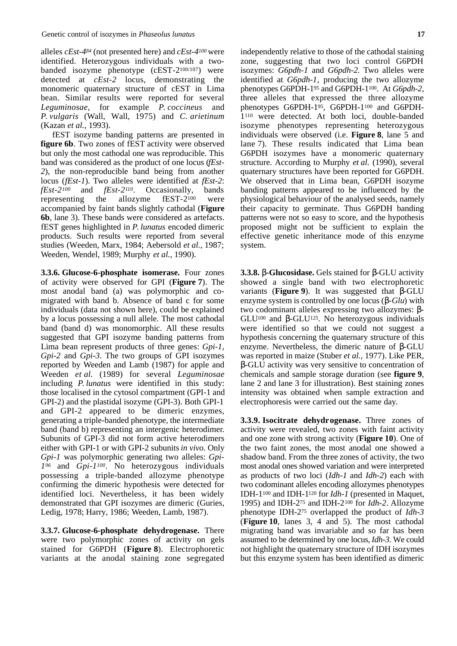alleles *cEst-4<sup>84</sup>* (not presented here) and *cEst-4<sup>100</sup>* were identified. Heterozygous individuals with a twobanded isozyme phenotype  $(cEST-2^{100/107})$  were detected at *cEst-2* locus, demonstrating the monomeric quaternary structure of cEST in Lima bean. Similar results were reported for several *Leguminosae*, for example *P. coccineus* and *P. vulgaris* (Wall, Wall, 1975) and *C. arietinum* (Kazan *et al.*, 1993).

fEST isozyme banding patterns are presented in **figure 6b**. Two zones of fEST activity were observed but only the most cathodal one was reproducible. This band was considered as the product of one locus (*fEst-2*), the non-reproducible band being from another locus (*fEst-1*). Two alleles were identified at *fEst-2*: *fEst-2<sup>100</sup>* and *fEst-2<sup>110</sup>*. Occasionally, bands representing the allozyme  $fEST-2^{100}$  were accompanied by faint bands slightly cathodal (**Figure 6b**, lane 3). These bands were considered as artefacts. fEST genes highlighted in *P. lunatus* encoded dimeric products. Such results were reported from several studies (Weeden, Marx, 1984; Aebersold *et al.*, 1987; Weeden, Wendel, 1989; Murphy *et al.*, 1990).

**3.3.6. Glucose-6-phosphate isomerase.** Four zones of activity were observed for GPI (**Figure 7**). The most anodal band (a) was polymorphic and comigrated with band b. Absence of band c for some individuals (data not shown here), could be explained by a locus possessing a null allele. The most cathodal band (band d) was monomorphic. All these results suggested that GPI isozyme banding patterns from Lima bean represent products of three genes: *Gpi-1*, *Gpi-2* and *Gpi-3*. The two groups of GPI isozymes reported by Weeden and Lamb (1987) for apple and Weeden *et al.* (1989) for several *Leguminosae* including *P. lunatus* were identified in this study: those localised in the cytosol compartment (GPI-1 and GPI-2) and the plastidal isozyme (GPI-3). Both GPI-1 and GPI-2 appeared to be dimeric enzymes, generating a triple-banded phenotype, the intermediate band (band b) representing an intergenic heterodimer. Subunits of GPI-3 did not form active heterodimers either with GPI-1 or with GPI-2 subunits *in vivo*. Only *Gpi-1* was polymorphic generating two alleles: *Gpi-*1<sup>96</sup> and *Gpi-1<sup>100</sup>*. No heterozygous individuals possessing a triple-banded allozyme phenotype confirming the dimeric hypothesis were detected for identified loci. Nevertheless, it has been widely demonstrated that GPI isozymes are dimeric (Guries, Ledig, 1978; Harry, 1986; Weeden, Lamb, 1987).

**3.3.7. Glucose-6-phosphate dehydrogenase.** There were two polymorphic zones of activity on gels stained for G6PDH (Figure 8). Electrophoretic variants at the anodal staining zone segregated independently relative to those of the cathodal staining zone, suggesting that two loci control G6PDH isozymes: *G6pdh-1* and *G6pdh-2*. Two alleles were identified at *G6pdh-1*, producing the two allozyme phenotypes G6PDH-1<sup>95</sup> and G6PDH-1<sup>100</sup>. At *G6pdh-2*, three alleles that expressed the three allozyme phenotypes G6PDH-195, G6PDH-1<sup>100</sup> and G6PDH-1<sup>110</sup> were detected. At both loci, double-banded isozyme phenotypes representing heterozygous individuals were observed (i.e. **Figure 8**, lane 5 and lane 7). These results indicated that Lima bean G6PDH isozymes have a monomeric quaternary structure. According to Murphy *et al.* (1990), several quaternary structures have been reported for G6PDH. We observed that in Lima bean, G6PDH isozyme banding patterns appeared to be influenced by the physiological behaviour of the analysed seeds, namely their capacity to germinate. Thus G6PDH banding patterns were not so easy to score, and the hypothesis proposed might not be sufficient to explain the effective genetic inheritance mode of this enzyme system.

**3.3.8. -Glucosidase.** Gels stained for -GLU activity showed a single band with two electrophoretic variants (**Figure 9**). It was suggested that -GLU enzyme system is controlled by one locus ( *-Glu*) with two codominant alleles expressing two allozymes: - GLU<sup>100</sup> and -GLU125. No heterozygous individuals were identified so that we could not suggest a hypothesis concerning the quaternary structure of this enzyme. Nevertheless, the dimeric nature of -GLU was reported in maize (Stuber *et al.*, 1977). Like PER,

-GLU activity was very sensitive to concentration of chemicals and sample storage duration (see **figure 9**, lane 2 and lane 3 for illustration). Best staining zones intensity was obtained when sample extraction and electrophoresis were carried out the same day.

**3.3.9. Isocitrate dehydrogenase.** Three zones of activity were revealed, two zones with faint activity and one zone with strong activity (**Figure 10**). One of the two faint zones, the most anodal one showed a shadow band. From the three zones of activity, the two most anodal ones showed variation and were interpreted as products of two loci (*Idh-1* and *Idh-2*) each with two codominant alleles encoding allozymes phenotypes IDH-1<sup>100</sup> and IDH-1<sup>120</sup> for *Idh-1* (presented in Maquet, 1995) and IDH-2<sup>75</sup> and IDH-2<sup>100</sup> for *Idh-2*. Allozyme phenotype IDH-2<sup>75</sup> overlapped the product of *Idh-3* (**Figure 10**, lanes 3, 4 and 5). The most cathodal migrating band was invariable and so far has been assumed to be determined by one locus, *Idh*-3. We could not highlight the quaternary structure of IDH isozymes but this enzyme system has been identified as dimeric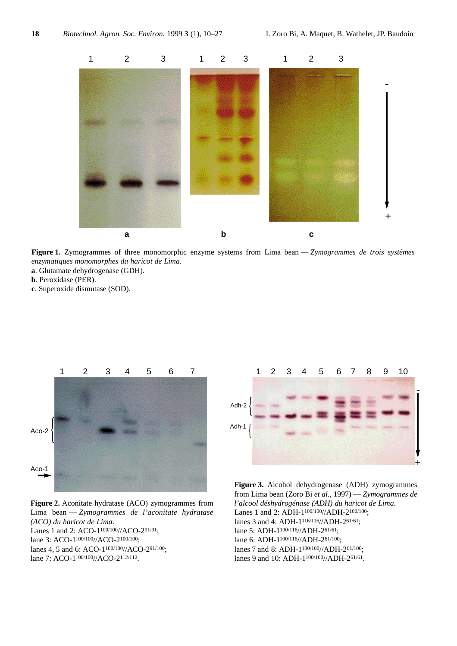

**Figure 1.** Zymogrammes of three monomorphic enzyme systems from Lima bean — *Zymogrammes de trois systèmes enzymatiques monomorphes du haricot de Lima.*

- **a**. Glutamate dehydrogenase (GDH).
- **b**. Peroxidase (PER).
- **c**. Superoxide dismutase (SOD).



**Figure 2.** Aconitate hydratase (ACO) zymogrammes from Lima bean — *Zymogrammes de l'aconitate hydratase (ACO) du haricot de Lima*. Lanes 1 and 2: ACO-1<sup>100/100</sup>//ACO-2<sup>91/91</sup>; lane 3: ACO-1<sup>100/100</sup>//ACO-2<sup>100/100</sup>; lanes 4, 5 and 6: ACO-1<sup>100/100</sup>//ACO-2<sup>91/100</sup>: lane 7: ACO-1100/100//ACO-2112/112.



**Figure 3.** Alcohol dehydrogenase (ADH) zymogrammes from Lima bean (Zoro Bi *et al.*, 1997) — *Zymogrammes de l'alcool déshydrogénase (ADH) du haricot de Lima*. Lanes 1 and 2: ADH-1<sup>100/100</sup>//ADH-2<sup>100/100</sup>: lanes 3 and 4: ADH-1<sup>116/116</sup>//ADH-2<sup>61/61</sup>; lane 5: ADH-1100/116//ADH-261/61; lane 6: ADH-1100/116//ADH-261/100; lanes 7 and 8: ADH-1100/100//ADH-261/100; lanes 9 and 10: ADH-1<sup>100/100</sup>//ADH-2<sup>61/61</sup>.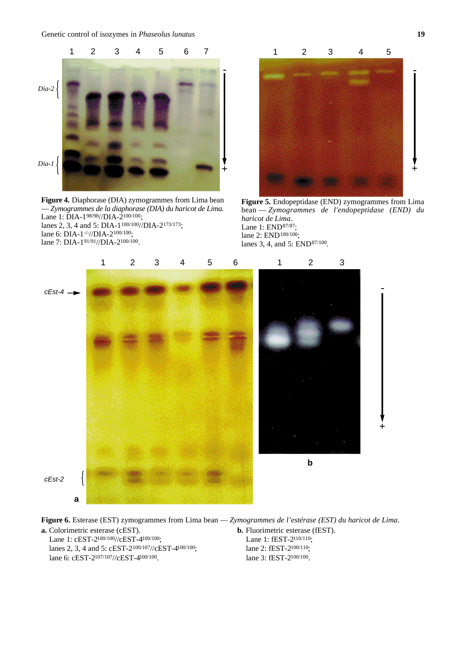Genetic control of isozymes in *Phaseolus lunatus* **19**



**Figure 4.** Diaphorase (DIA) zymogrammes from Lima bean — *Zymogrammes de la diaphorase (DIA) du haricot de Lima*. Lane 1: DIA-198/98//DIA-2100/100; lanes 2, 3, 4 and 5: DIA-1<sup>100/100</sup>//DIA-2<sup>173/173</sup>; lane 6: DIA-1-/-//DIA-2<sup>100/100</sup>; lane 7: DIA-191/91//DIA-2100/100.



**Figure 5.** Endopeptidase (END) zymogrammes from Lima bean — *Zymogrammes de l'endopeptidase* (END) du *haricot de Lima*. Lane 1: END87/87; lane 2: END<sup>100/100</sup>; lanes 3, 4, and 5: END<sup>87/100</sup>.



**a.** Colorimetric esterase (cEST).

Lane 1: cEST-2<sup>100/100</sup>//cEST-4<sup>100/100</sup>; lanes 2, 3, 4 and 5: cEST-2100/107//cEST-4100/100; lane 6: cEST-2107/107//cEST-4100/100.

**Figure 6.** Esterase (EST) zymogrammes from Lima bean — *Zymogrammes de l'estérase (EST) du haricot de Lima*.

**b.** Fluorimetric esterase (fEST). Lane 1: fEST-2110/110; lane 2: fEST-2100/110; lane 3: fEST-2100/100.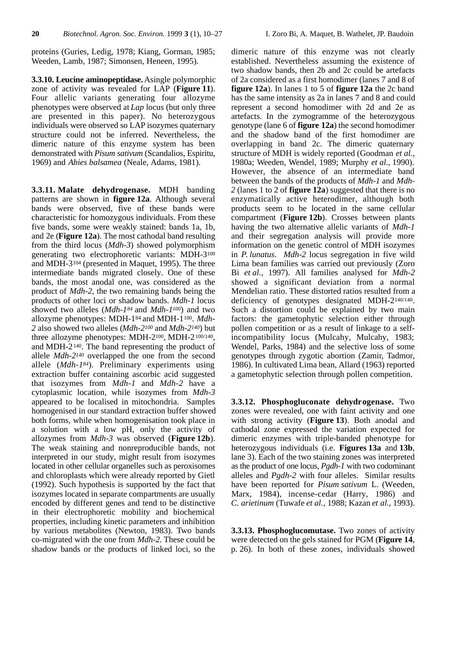proteins (Guries, Ledig, 1978; Kiang, Gorman, 1985; Weeden, Lamb, 1987; Simonsen, Heneen, 1995).

**3.3.10. Leucine aminopeptidase.** Asingle polymorphic zone of activity was revealed for LAP (**Figure 11**). Four allelic variants generating four allozyme phenotypes were observed at *Lap* locus (but only three are presented in this paper). No heterozygous individuals were observed so LAP isozymes quaternary structure could not be inferred. Nevertheless, the dimeric nature of this enzyme system has been demonstrated with *Pisum sativum* (Scandalios, Espiritu, 1969) and *Abies balsamea* (Neale, Adams, 1981).

**3.3.11. Malate dehydrogenase.** MDH banding patterns are shown in **figure 12a**. Although several bands were observed, five of these bands were characteristic for homozygous individuals. From these five bands, some were weakly stained: bands 1a, 1b, and 2e (**Figure 12a**). The most cathodal band resulting from the third locus (*Mdh-3*) showed polymorphism generating two electrophoretic variants: MDH-3<sup>100</sup> and MDH-3<sup>104</sup> (presented in Maquet, 1995). The three intermediate bands migrated closely. One of these bands, the most anodal one, was considered as the product of *Mdh-2*, the two remaining bands being the products of other loci or shadow bands. *Mdh-1* locus showed two alleles (*Mdh-1<sup>84</sup>* and *Mdh-1100*) and two allozyme phenotypes: MDH-184 and MDH-1100. *Mdh-2* also showed two alleles (*Mdh-2<sup>100</sup>* and *Mdh-2140*) but three allozyme phenotypes: MDH-2100, MDH-2100/140, and MDH-2140. The band representing the product of allele *Mdh-2<sup>140</sup>* overlapped the one from the second allele (*M dh - 1<sup>84</sup>*). Preliminary experiments using extraction buffer containing ascorbic acid suggested that isozymes from *Mdh-1* and *Mdh-2* have a cytoplasmic location, while isozymes from *Mdh-3* appeared to be localised in mitochondria. Samples homogenised in our standard extraction buffer showed both forms, while when homogenisation took place in a solution with a low pH, only the activity of allozymes from *Mdh-3* was observed (**Figure 12b**). The weak staining and nonreproducible bands, not interpreted in our study, might result from isozymes located in other cellular organelles such as peroxisomes and chloroplasts which were already reported by Gietl (1992). Such hypothesis is supported by the fact that isozymes located in separate compartments are usually encoded by different genes and tend to be distinctive in their electrophoretic mobility and biochemical properties, including kinetic parameters and inhibition by various metabolites (Newton, 1983). Two bands co-migrated with the one from *Mdh-2*. These could be shadow bands or the products of linked loci, so the

dimeric nature of this enzyme was not clearly established. Nevertheless assuming the existence of two shadow bands, then 2b and 2c could be artefacts of 2a considered as a first homodimer (lanes 7 and 8 of **figure 12a**). In lanes 1 to 5 of **figure 12a** the 2c band has the same intensity as 2a in lanes 7 and 8 and could represent a second homodimer with 2d and 2e as artefacts. In the zymogramme of the heterozygous genotype (lane 6 of **figure 12a**) the second homodimer and the shadow band of the first homodimer are overlapping in band 2c. The dimeric quaternary structure of MDH is widely reported (Goodman *et al.*, 1980a; Weeden, Wendel, 1989; Murphy *et al.*, 1990). However, the absence of an intermediate band between the bands of the products of *Mdh-1* and *Mdh-2* (lanes 1 to 2 of **figure 12a**) suggested that there is no enzymatically active heterodimer, although both products seem to be located in the same cellular compartment (**Figure 12b**). Crosses between plants having the two alternative allelic variants of *Mdh-1* and their segregation analysis will provide more information on the genetic control of MDH isozymes in *P. lunatus*. *Mdh-2* locus segregation in five wild Lima bean families was carried out previously (Zoro Bi *et al.*, 1997). All families analysed for *Mdh-2* showed a significant deviation from a normal Mendelian ratio. These distorted ratios resulted from a deficiency of genotypes designated MDH- $2^{140/140}$ . Such a distortion could be explained by two main factors: the gametophytic selection either through pollen competition or as a result of linkage to a selfincompatibility locus (Mulcahy, Mulcahy, 1983; Wendel, Parks, 1984) and the selective loss of some genotypes through zygotic abortion (Zamir, Tadmor, 1986). In cultivated Lima bean, Allard (1963) reported a gametophytic selection through pollen competition.

**3.3.12. Phosphogluconate dehydrogenase.** Two zones were revealed, one with faint activity and one with strong activity (**Figure 13**). Both anodal and cathodal zone expressed the variation expected for dimeric enzymes with triple-banded phenotype for heterozygous individuals (i.e. **Figures 13a** and **13b**, lane 3). Each of the two staining zones was interpreted as the product of one locus, *Pgdh-1* with two codominant alleles and *Pgdh-2* with four alleles. Similar results have been reported for *Pisum sativum* L. (Weeden, Marx, 1984), incense-cedar (Harry, 1986) and *C. arietinum* (Tuwafe *et al.*, 1988; Kazan *et al.*, 1993).

**3.3.13. Phosphoglucomutase.** Two zones of activity were detected on the gels stained for PGM (**Figure 14**, p. 26). In both of these zones, individuals showed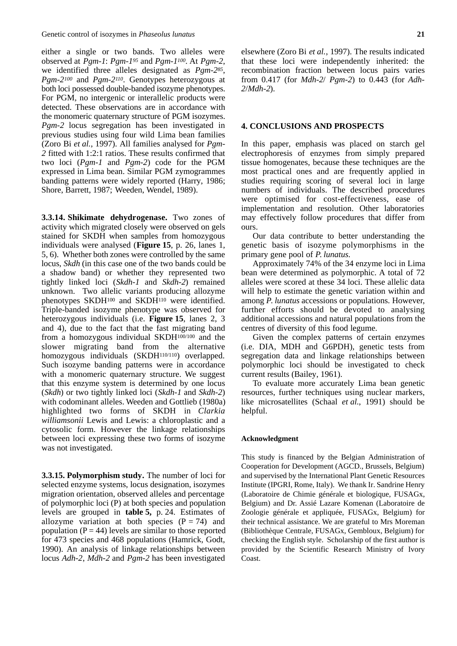either a single or two bands. Two alleles were observed at *Pgm-1*: *Pgm-1<sup>95</sup>* and *Pgm-1100*. At *Pgm-2*, we identified three alleles designated as *Pgm-285*, *Pgm-2<sup>100</sup>* and *Pgm-2110*. Genotypes heterozygous at both loci possessed double-banded isozyme phenotypes. For PGM, no intergenic or interallelic products were detected. These observations are in accordance with the monomeric quaternary structure of PGM isozymes. *Pgm-2* locus segregation has been investigated in previous studies using four wild Lima bean families (Zoro Bi *et al.*, 1997). All families analysed for *Pgm-2* fitted with 1:2:1 ratios. These results confirmed that two loci (*Pgm-1* and *Pgm-2*) code for the PGM expressed in Lima bean. Similar PGM zymogrammes banding patterns were widely reported (Harry, 1986; Shore, Barrett, 1987; Weeden, Wendel, 1989).

**3.3.14. Shikimate dehydrogenase.** Two zones of activity which migrated closely were observed on gels stained for SKDH when samples from homozygous individuals were analysed (**Figure 15**, p. 26, lanes 1, 5, 6). Whether both zones were controlled by the same locus, *Skdh* (in this case one of the two bands could be a shadow band) or whether they represented two tightly linked loci (*Skdh-1* and *Skdh-2*) remained unknown. Two allelic variants producing allozyme phenotypes SKDH<sup>100</sup> and SKDH<sup>110</sup> were identified. Triple-banded isozyme phenotype was observed for heterozygous individuals (i.e. **Figure 15**, lanes 2, 3 and 4), due to the fact that the fast migrating band from a homozygous individual SKDH100/100 and the slower migrating band from the alternative homozygous individuals (SKDH<sup>110/110</sup>) overlapped. Such isozyme banding patterns were in accordance with a monomeric quaternary structure. We suggest that this enzyme system is determined by one locus (*Skdh*) or two tightly linked loci (*Skdh-1* and *Skdh-2*) with codominant alleles. Weeden and Gottlieb (1980a) highlighted two forms of SKDH in *Clarkia williamsonii* Lewis and Lewis: a chloroplastic and a cytosolic form. However the linkage relationships between loci expressing these two forms of isozyme was not investigated.

**3.3.15. Polymorphism study.** The number of loci for selected enzyme systems, locus designation, isozymes migration orientation, observed alleles and percentage of polymorphic loci (P) at both species and population levels are grouped in **table 5,** p. 24. Estimates of allozyme variation at both species  $(P = 74)$  and population  $(P = 44)$  levels are similar to those reported for 473 species and 468 populations (Hamrick, Godt, 1990). An analysis of linkage relationships between locus *Adh-2*, *Mdh-2* and *Pgm-2* has been investigated

elsewhere (Zoro Bi *et al.*, 1997). The results indicated that these loci were independently inherited: the recombination fraction between locus pairs varies from 0.417 (for *Mdh-2*/ *Pgm-2*) to 0.443 (for *Adh-2*/*Mdh-2*).

#### **4. CONCLUSIONS AND PROSPECTS**

In this paper, emphasis was placed on starch gel electrophoresis of enzymes from simply prepared tissue homogenates, because these techniques are the most practical ones and are frequently applied in studies requiring scoring of several loci in large numbers of individuals. The described procedures were optimised for cost-effectiveness, ease of implementation and resolution. Other laboratories may effectively follow procedures that differ from ours.

Our data contribute to better understanding the genetic basis of isozyme polymorphisms in the primary gene pool of *P. lunatus*.

Approximately 74% of the 34 enzyme loci in Lima bean were determined as polymorphic. A total of 72 alleles were scored at these 34 loci. These allelic data will help to estimate the genetic variation within and among *P. lunatus* accessions or populations. However, further efforts should be devoted to analysing additional accessions and natural populations from the centres of diversity of this food legume.

Given the complex patterns of certain enzymes (i.e. DIA, MDH and G6PDH), genetic tests from segregation data and linkage relationships between polymorphic loci should be investigated to check current results (Bailey, 1961).

To evaluate more accurately Lima bean genetic resources, further techniques using nuclear markers, like microsatellites (Schaal *et al.*, 1991) should be helpful.

#### **Acknowledgment**

This study is financed by the Belgian Administration of Cooperation for Development (AGCD., Brussels, Belgium) and supervised by the International Plant Genetic Resources Institute (IPGRI, Rome, Italy). We thank Ir. Sandrine Henry (Laboratoire de Chimie générale et biologique, FUSAGx, Belgium) and Dr. Assié Lazare Komenan (Laboratoire de Zoologie générale et appliquée, FUSAGx, Belgium) for their technical assistance. We are grateful to Mrs Moreman (Bibliothèque Centrale, FUSAGx, Gembloux, Belgium) for checking the English style. Scholarship of the first author is provided by the Scientific Research Ministry of Ivory Coast.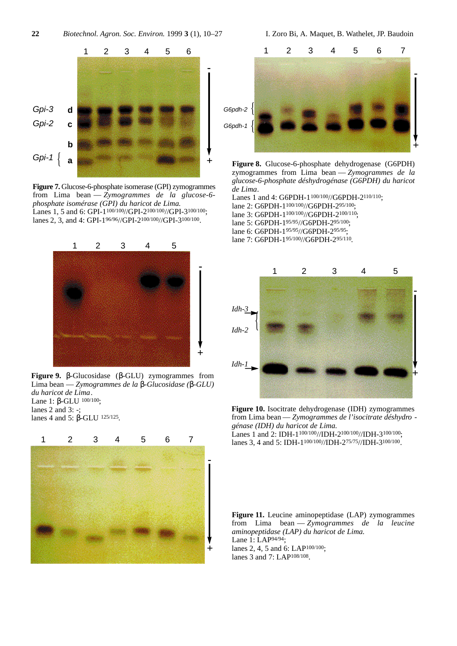

**Figure 7.** Glucose-6-phosphate isomerase (GPI) zymogrammes from Lima bean — *Zymogrammes de la glucose-6 phosphate isomérase (GPI) du haricot de Lima*. Lanes 1, 5 and 6: GPI-1100/100//GPI-2100/100//GPI-3100/100; lanes 2, 3, and 4: GPI-196/96//GPI-2100/100//GPI-3100/100.



**Figure 9.** -Glucosidase (-GLU) zymogrammes from Lima bean — *Zymogrammes de la -Glucosidase ( -GLU) du haricot de Lima*. Lane 1: -GLU <sup>100/100</sup>; lanes 2 and 3: -; lanes 4 and 5: -GLU 125/125.





**Figure 8.** Glucose-6-phosphate dehydrogenase (G6PDH) zymogrammes from Lima bean — *Zymogrammes de la glucose-6-phosphate déshydrogénase (G6PDH) du haricot de Lima*.

Lanes 1 and 4: G6PDH-1<sup>100/100</sup>//G6PDH-2<sup>110/110</sup>; lane 2: G6PDH-1100/100//G6PDH-295/100; lane 3: G6PDH-1<sup>100/100</sup>//G6PDH-2<sup>100/110</sup>; lane 5: G6PDH-195/95//G6PDH-295/100;

- lane 6: G6PDH-1<sup>95/95</sup>//G6PDH-2<sup>95/95</sup>
- lane 7: G6PDH-195/100//G6PDH-295/110.



**Figure 10.** Isocitrate dehydrogenase (IDH) zymogrammes from Lima bean — *Zymogrammes de l'isocitrate déshydro génase (IDH) du haricot de Lima*. Lanes 1 and 2: IDH-1100/100//IDH-2100/100//IDH-3100/100; lanes 3, 4 and 5: IDH-1100/100//IDH-275/75//IDH-3100/100.

**Figure 11.** Leucine aminopeptidase (LAP) zymogrammes from Lima bean — *Zymogrammes de la leucine aminopeptidase (LAP) du haricot de Lima*. Lane 1: LAP94/94; lanes 2, 4, 5 and 6: LAP100/100; lanes 3 and 7: LAP108/108.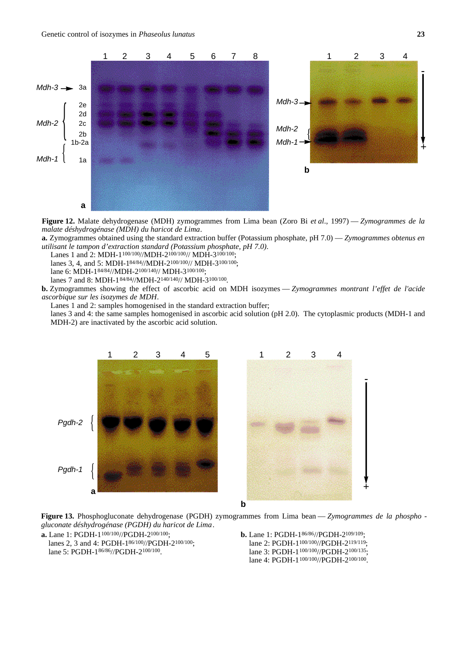

**Figure 12.** Malate dehydrogenase (MDH) zymogrammes from Lima bean (Zoro Bi *et al*., 1997) — *Zymogrammes de la malate déshydrogénase (MDH) du haricot de Lima*.

**a.** Zymogrammes obtained using the standard extraction buffer (Potassium phosphate, pH 7.0) — *Zymogrammes obtenus en utilisant le tampon d'extraction standard (Potassium phosphate, pH 7.0)*.

Lanes 1 and 2: MDH-1<sup>100/100</sup>//MDH-2<sup>100/100</sup>// MDH-3<sup>100/100</sup>;

lanes 3, 4, and 5: MDH-184/84//MDH-2100/100// MDH-3100/100;

lane 6: MDH-184/84//MDH-2100/140// MDH-3100/100;

lanes 7 and 8: MDH-1<sup>84/84</sup>//MDH-2<sup>140/140</sup>// MDH-3<sup>100/100</sup>.

**b.** Zymogrammes showing the effect of ascorbic acid on MDH isozymes — *Zymogrammes montrant l'effet de l'acide ascorbique sur les isozymes de MDH*.

Lanes 1 and 2: samples homogenised in the standard extraction buffer;

lanes 3 and 4: the same samples homogenised in ascorbic acid solution (pH 2.0). The cytoplasmic products (MDH-1 and MDH-2) are inactivated by the ascorbic acid solution.





**b**

**Figure 13.** Phosphogluconate dehydrogenase (PGDH) zymogrammes from Lima bean — *Zymogrammes de la phospho gluconate déshydrogénase (PGDH) du haricot de Lima*.

**a.** Lane 1: PGDH-1100/100//PGDH-2100/100;

- lanes 2, 3 and 4: PGDH-186/100//PGDH-2100/100; lane 5: PGDH-186/86//PGDH-2100/100.
- **b.** Lane 1: PGDH-186/86//PGDH-2109/109; lane 2: PGDH-1<sup>100/100</sup>//PGDH-2<sup>119/119</sup>: lane 3: PGDH-1<sup>100/100</sup>//PGDH-2<sup>100/135</sup>; lane 4: PGDH-1<sup>100/100</sup>//PGDH-2<sup>100/100</sup>.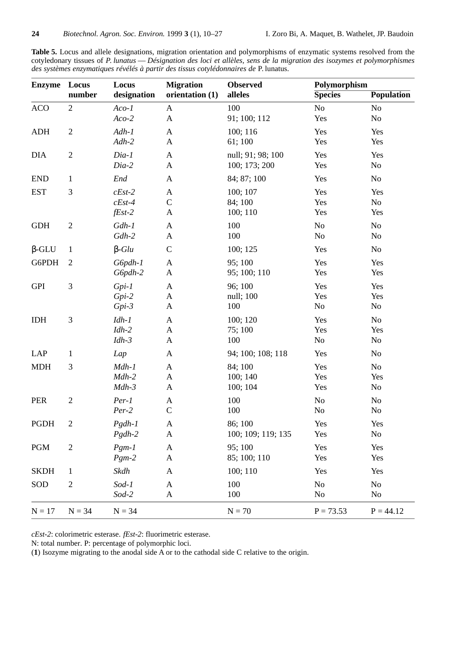**Table 5.** Locus and allele designations, migration orientation and polymorphisms of enzymatic systems resolved from the cotyledonary tissues of *P.lunatus* — *Désignation des loci et allèles, sens de la migration des isozymes et polymorphismes des systèmes enzymatiques révélés à partir des tissus cotylédonnaires de* P.lunatus.

| <b>Enzyme</b> | Locus<br>number | Locus<br>designation | <b>Migration</b><br>orientation (1) | <b>Observed</b><br>alleles | Polymorphism<br><b>Species</b> | <b>Population</b> |
|---------------|-----------------|----------------------|-------------------------------------|----------------------------|--------------------------------|-------------------|
| <b>ACO</b>    | $\overline{2}$  | $Aco-1$              | $\mathbf{A}$                        | 100                        | No                             | No                |
|               |                 | $Aco-2$              | $\mathbf A$                         | 91; 100; 112               | Yes                            | No                |
| <b>ADH</b>    | $\mathfrak{2}$  | $Adh-1$              | $\mathbf{A}$                        | 100; 116                   | Yes                            | Yes               |
|               |                 | $Adh-2$              | A                                   | 61;100                     | Yes                            | Yes               |
| <b>DIA</b>    | $\sqrt{2}$      | $Dia-1$              | A                                   | null; 91; 98; 100          | Yes                            | Yes               |
|               |                 | Dia-2                | A                                   | 100; 173; 200              | Yes                            | No                |
| <b>END</b>    | $\mathbf{1}$    | End                  | A                                   | 84; 87; 100                | Yes                            | No                |
| <b>EST</b>    | $\mathfrak{Z}$  | $cEst-2$             | A                                   | 100; 107                   | Yes                            | Yes               |
|               |                 | $cEst-4$             | $\mathbf C$                         | 84; 100                    | Yes                            | No                |
|               |                 | $fEst-2$             | A                                   | 100; 110                   | Yes                            | Yes               |
| <b>GDH</b>    | $\mathbf{2}$    | $Gdh-1$              | A                                   | 100                        | No                             | No                |
|               |                 | $Gdh-2$              | $\mathbf{A}$                        | 100                        | N <sub>0</sub>                 | No                |
| $-GLU$        | $\mathbf{1}$    | $-Glu$               | $\mathsf{C}$                        | 100; 125                   | Yes                            | No                |
| G6PDH         | $\overline{2}$  | G6pdh-1              | A                                   | 95; 100                    | Yes                            | Yes               |
|               |                 | G6pdh-2              | $\mathbf A$                         | 95; 100; 110               | Yes                            | Yes               |
| <b>GPI</b>    | $\mathfrak{Z}$  | $Gpi-1$              | A                                   | 96; 100                    | Yes                            | Yes               |
|               |                 | $Gpi-2$              | A                                   | null; 100                  | Yes                            | Yes               |
|               |                 | $Gpi-3$              | $\mathbf A$                         | 100                        | No                             | No                |
| <b>IDH</b>    | 3               | $Idh-1$              | A                                   | 100; 120                   | Yes                            | No                |
|               |                 | $Idh-2$              | $\mathbf{A}$                        | 75; 100                    | Yes                            | Yes               |
|               |                 | $Idh-3$              | A                                   | 100                        | No                             | No                |
| LAP           | $\mathbf{1}$    | Lap                  | A                                   | 94; 100; 108; 118          | Yes                            | N <sub>o</sub>    |
| <b>MDH</b>    | 3               | $Mdh-1$              | A                                   | 84; 100                    | Yes                            | No                |
|               |                 | $Mdh-2$              | A                                   | 100; 140                   | Yes                            | Yes               |
|               |                 | $Mdh-3$              | A                                   | 100; 104                   | Yes                            | No                |
| <b>PER</b>    | $\mathfrak{2}$  | $Per-1$              | A                                   | 100                        | No                             | No                |
|               |                 | $Per-2$              | $\mathsf{C}$                        | 100                        | No                             | $\rm No$          |
| <b>PGDH</b>   | $\overline{2}$  | $Pgdh-1$             | A                                   | 86; 100                    | Yes                            | Yes               |
|               |                 | $Pgdh-2$             | A                                   | 100; 109; 119; 135         | Yes                            | No                |
| <b>PGM</b>    | $\mathbf{2}$    | $Pgm-1$              | A                                   | 95;100                     | Yes                            | Yes               |
|               |                 | $Pgm-2$              | A                                   | 85; 100; 110               | Yes                            | Yes               |
| <b>SKDH</b>   | $\mathbf{1}$    | Skdh                 | A                                   | 100; 110                   | Yes                            | Yes               |
| SOD           | $\mathfrak{2}$  | $Sod-1$              | A                                   | 100                        | No                             | N <sub>0</sub>    |
|               |                 | Sod-2                | A                                   | 100                        | N <sub>o</sub>                 | N <sub>0</sub>    |
| $N = 17$      | $N = 34$        | $N = 34$             |                                     | $N = 70$                   | $P = 73.53$                    | $P = 44.12$       |

*cEst-2*: colorimetric esterase. *fEst-2*: fluorimetric esterase.

N: total number. P: percentage of polymorphic loci.

(**1**) Isozyme migrating to the anodal side A or to the cathodal side C relative to the origin.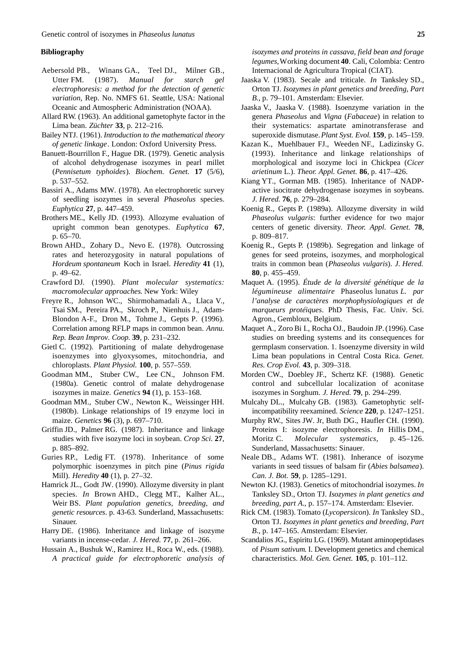#### **Bibliography**

- Aebersold PB., Winans GA., Teel DJ., Milner GB., Utter FM. (1987). *Manual for starch gel electrophoresis: a method for the detection of genetic variation,* Rep. No. NMFS 61. Seattle, USA: National Oceanic and Atmospheric Administration (NOAA).
- Allard RW. (1963). An additional gametophyte factor in the Lima bean. *Züchter* **33**, p. 212–216.
- Bailey NTJ. (1961). *Introduction to the mathematical theory of genetic linkage*. London: Oxford University Press.
- Banuett-Bourrillon F., Hague DR. (1979). Genetic analysis of alcohol dehydrogenase isozymes in pearl millet (*Pennisetum typhoides*). *Biochem. Genet.* 17 (5/6), p. 537–552.
- Bassiri A., Adams MW. (1978). An electrophoretic survey of seedling isozymes in several *Phaseolus* species. *Euphytica* **27**, p. 447–459.
- Brothers ME., Kelly JD. (1993). Allozyme evaluation of upright common bean genotypes. *Euphytica* 67, p. 65–70.
- Brown AHD., Zohary D., Nevo E. (1978). Outcrossing rates and heterozygosity in natural populations of *Hordeum spontaneum* Koch in Israel. *Heredity* **41** (1), p. 49–62.
- Crawford DJ. (1990). *Plant molecular systematics: macromolecular approaches*. New York: Wiley
- Freyre R., Johnson WC., Shirmohamadali A., Llaca V., Tsai SM., Pereira PA., Skroch P., Nienhuis J., Adam-Blondon A-F., Dron M., Tohme J., Gepts P. (1996). Correlation among RFLP maps in common bean. *Annu. Rep. Bean Improv. Coop.* **39**, p. 231–232.
- Gietl C. (1992). Partitioning of malate dehydrogenase isoenzymes into glyoxysomes, mitochondria, and chloroplasts. *Plant Physiol.* **100**, p. 557–559.
- Goodman MM., Stuber CW., Lee CN., Johnson FM. (1980a). Genetic control of malate dehydrogenase isozymes in maize. *Genetics* **94** (1), p. 153–168.
- Goodman MM., Stuber CW., Newton K., Weissinger HH. (1980b). Linkage relationships of 19 enzyme loci in maize. *Genetics* **96** (3), p. 697–710.
- Griffin JD., Palmer RG. (1987). Inheritance and linkage studies with five isozyme loci in soybean. *Crop Sci.* **27**, p. 885–892.
- Guries RP., Ledig FT. (1978). Inheritance of some polymorphic isoenzymes in pitch pine (*Pinus rigida* Mill). *Heredity* **40** (1), p. 27–32.
- Hamrick JL., Godt JW. (1990). Allozyme diversity in plant species. *In* Brown AHD., Clegg MT., Kalher AL., Weir BS. *Plant population genetics, breeding, and genetic resources.* p. 43-63. Sunderland, Massachusetts: Sinauer.
- Harry DE. (1986). Inheritance and linkage of isozyme variants in incense-cedar. *J. Hered.* **77**, p. 261–266.
- Hussain A., Bushuk W., Ramirez H., Roca W., eds. (1988). A *practical guide for electrophoretic analysis of*

*isozymes and proteins in cassava, field bean and forage legumes*,Working document **40**. Cali, Colombia: Centro Internacional de Agricultura Tropical (CIAT).

- Jaaska V. (1983). Secale and triticale. *In* Tanksley SD., Orton TJ. *Isozymes in plant genetics and breeding, Part B.*, p. 79–101. Amsterdam: Elsevier.
- Jaaska V., Jaaska V. (1988). Isoenzyme variation in the genera *Phaseolus* and *Vigna* (*Fabaceae*) in relation to their systematics: aspartate aminotransferase and superoxide dismutase. *Plant Syst. Evol.* **159**, p. 145–159.
- Kazan K., Muehlbauer FJ., Weeden NF., Ladizinsky G. (1993). Inheritance and linkage relationships of morphological and isozyme loci in Chickpea (*Cicer arietinum* L.). *Theor. Appl. Genet.* **86**, p. 417–426.
- Kiang YT., Gorman MB. (1985). Inheritance of NADPactive isocitrate dehydrogenase isozymes in soybeans. *J. Hered.* **76**, p. 279–284.
- Koenig R., Gepts P. (1989a). Allozyme diversity in wild *Phaseolus vulgaris*: further evidence for two major centers of genetic diversity. *Theor. Appl. Genet.* **78**, p. 809–817.
- Koenig R., Gepts P. (1989b). Segregation and linkage of genes for seed proteins, isozymes, and morphological traits in common bean (*Phaseolus vulgaris*). *J. Hered.* **80**, p. 455–459.
- Maquet A. (1995). *Étude de la diversité génétique de la légumineuse alimentaire* Phaseolus lunatus L. par *l'analyse de caractères morphophysiologiques et de marqueurs protéiques*. PhD Thesis, Fac. Univ. Sci. Agron., Gembloux, Belgium.
- Maquet A., Zoro Bi I., Rocha OJ., Baudoin JP. (1996). Case studies on breeding systems and its consequences for germplasm conservation. 1. Isoenzyme diversity in wild Lima bean populations in Central Costa Rica. *Genet. Res. Crop Evol.* **43**, p. 309–318.
- Morden CW., Doebley JF., Schertz KF. (1988). Genetic control and subcellular localization of aconitase isozymes in Sorghum. *J. Hered.* **79**, p. 294–299.
- Mulcahy DL., Mulcahy GB. (1983). Gametophytic selfincompatibility reexamined. *Science* 220, p. 1247–1251.
- Murphy RW., Sites JW. Jr, Buth DG., Haufler CH. (1990). Proteins I: isozyme electrophoresis. *In* Hillis DM., Moritz C. *Molecular systematics*, p. 45–126. Sunderland, Massachusetts: Sinauer.
- Neale DB., Adams WT. (1981). Inherance of isozyme variants in seed tissues of balsam fir (*Abies balsamea*). *Can. J. Bot.* **59**, p. 1285–1291.
- Newton KJ. (1983). Genetics of mitochondrial isozymes. *In* Tanksley SD., Orton TJ. *Isozymes in plant genetics and breeding, part A.*, p. 157–174. Amsterdam: Elsevier.
- Rick CM. (1983). Tomato (*Lycopersicon*). *In* Tanksley SD., Orton TJ. *Isozymes in plant genetics and breeding, Part B*., p. 147–165. Amsterdam: Elsevier.
- Scandalios JG., Espiritu LG. (1969). Mutant aminopeptidases of *Pisum sativum*. I. Development genetics and chemical characteristics. *Mol. Gen. Genet.* **105**, p. 101–112.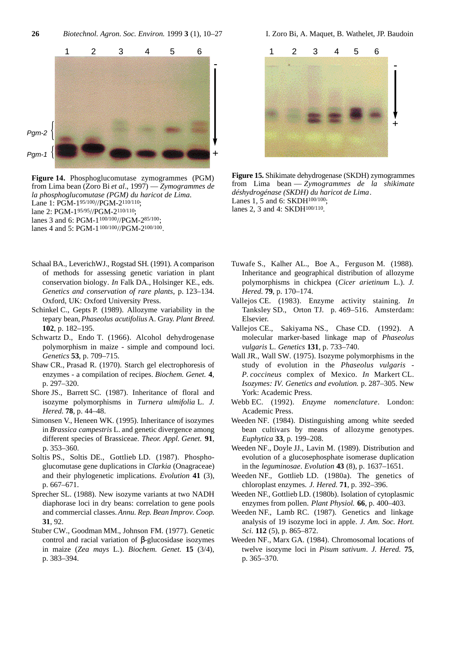**26** *Biotechnol. Agron. Soc. Environ.* 1999 **3** (1), 10–27 I. Zoro Bi, A. Maquet, B. Wathelet, JP. Baudoin



**Figure 14.** Phosphoglucomutase zymogrammes (PGM) from Lima bean (Zoro Bi *et al*., 1997) — *Zymogrammes de la phosphoglucomutase (PGM) du haricot de Lima*. Lane 1: PGM-195/100//PGM-2110/110; lane 2: PGM-195/95//PGM-2110/110; lanes 3 and 6: PGM-1100/100//PGM-285/100; lanes 4 and 5: PGM-1<sup>100/100</sup>//PGM-2<sup>100/100</sup>.

- Schaal BA., LeverichWJ., Rogstad SH. (1991). A comparison of methods for assessing genetic variation in plant conservation biology. *In* Falk DA., Holsinger KE., eds. *Genetics and conservation of rare plants*, p. 123–134. Oxford, UK: Oxford University Press.
- Schinkel C., Gepts P. (1989). Allozyme variability in the tepary bean, *Phaseolus acutifolius* A. Gray. *Plant Breed.* **102**, p. 182–195.
- Schwartz D., Endo T. (1966). Alcohol dehydrogenase polymorphism in maize - simple and compound loci. *Genetics* **53**, p. 709–715.
- Shaw CR., Prasad R. (1970). Starch gel electrophoresis of enzymes - a compilation of recipes. *Biochem. Genet.* **4**, p. 297–320.
- Shore JS., Barrett SC. (1987). Inheritance of floral and isozyme polymorphisms in *Turnera ulmifolia* L. *J. Hered.* **78**, p. 44–48.
- Simonsen V., Heneen WK. (1995). Inheritance of isozymes in *Brassica campestris* L. and genetic divergence among different species of Brassiceae. *Theor. Appl. Genet.* **91**, p. 353–360.
- Soltis PS., Soltis DE., Gottlieb LD. (1987). Phosphoglucomutase gene duplications in *Clarkia* (Onagraceae) and their phylogenetic implications. *Evolution* **41** (3), p. 667–671.
- Sprecher SL. (1988). New isozyme variants at two NADH diaphorase loci in dry beans: correlation to gene pools and commercial classes. *Annu. Rep. Bean Improv. Coop.* **31**, 92.
- Stuber CW., Goodman MM., Johnson FM. (1977). Genetic control and racial variation of -glucosidase isozymes in maize (*Zea mays* L.). *Biochem. Genet.* **15** (3/4), p. 383–394.



**Figure 15.** Shikimate dehydrogenase (SKDH) zymogrammes from Lima bean — *Zymogrammes de la shikimate déshydrogénase (SKDH) du haricot de Lima*. Lanes 1, 5 and 6: SKDH<sup>100/100</sup>: lanes 2, 3 and 4: SKDH<sup>100/110</sup>.

- Tuwafe S., Kalher AL., Boe A., Ferguson M. (1988). Inheritance and geographical distribution of allozyme polymorphisms in chickpea (*Cicer arietinum* L.). *J. Hered.* **79**, p. 170–174.
- Vallejos CE. (1983). Enzyme activity staining. *In* Tanksley SD., Orton TJ. p. 469–516. Amsterdam: Elsevier.
- Vallejos CE., Sakiyama NS., Chase CD. (1992). A molecular marker-based linkage map of *Phaseolus vulgaris* L. *Genetics* **131**, p. 733–740.
- Wall JR., Wall SW. (1975). Isozyme polymorphisms in the study of evolution in the *Phaseolus vulgaris* - *P. coccineus* complex of Mexico. *In* Markert CL. *Isozymes: IV. Genetics and evolution.* p. 287–305. New York: Academic Press.
- Webb EC. (1992). *Enzyme nomenclature*. London: Academic Press.
- Weeden NF. (1984). Distinguishing among white seeded bean cultivars by means of allozyme genotypes. *Euphytica* **33**, p. 199–208.
- Weeden NF., Doyle JJ., Lavin M. (1989). Distribution and evolution of a glucosephosphate isomerase duplication in the *leguminosae*. *Evolution* **43** (8), p. 1637–1651.
- Weeden NF., Gottlieb LD. (1980a). The genetics of chloroplast enzymes. *J. Hered.* **71**, p. 392–396.
- Weeden NF., Gottlieb LD. (1980b). Isolation of cytoplasmic enzymes from pollen. *Plant Physiol.* **66**, p. 400–403.
- Weeden NF., Lamb RC. (1987). Genetics and linkage analysis of 19 isozyme loci in apple. *J. Am. Soc. Hort. Sci.* **112** (5), p. 865–872.
- Weeden NF., Marx GA. (1984). Chromosomal locations of twelve isozyme loci in *Pisum sativum*. *J. Hered.* **75**, p. 365–370.